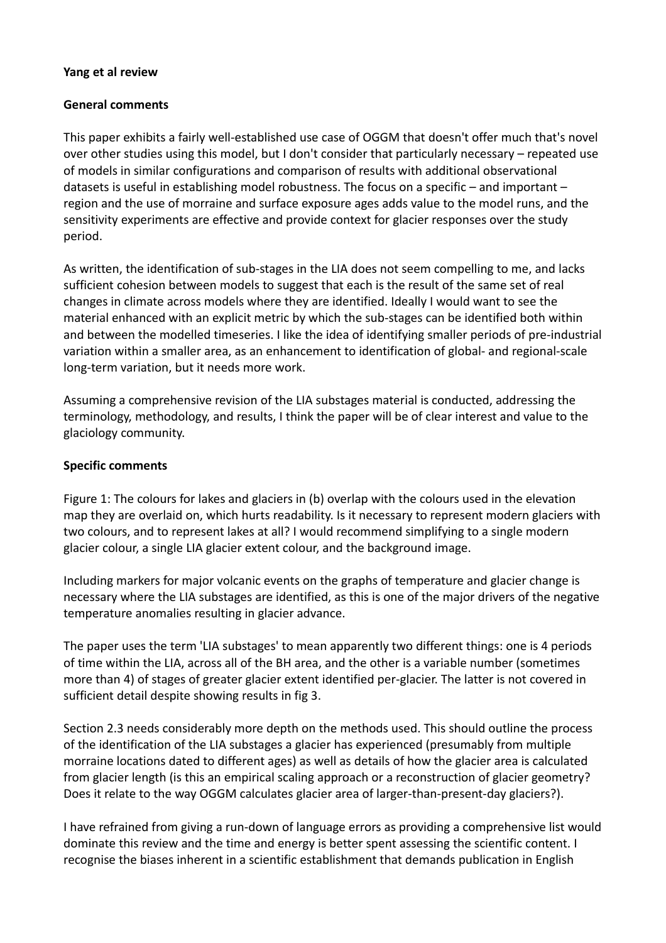## **Yang et al review**

## **General comments**

This paper exhibits a fairly well-established use case of OGGM that doesn't offer much that's novel over other studies using this model, but I don't consider that particularly necessary – repeated use of models in similar configurations and comparison of results with additional observational datasets is useful in establishing model robustness. The focus on a specific – and important – region and the use of morraine and surface exposure ages adds value to the model runs, and the sensitivity experiments are effective and provide context for glacier responses over the study period.

As written, the identification of sub-stages in the LIA does not seem compelling to me, and lacks sufficient cohesion between models to suggest that each is the result of the same set of real changes in climate across models where they are identified. Ideally I would want to see the material enhanced with an explicit metric by which the sub-stages can be identified both within and between the modelled timeseries. I like the idea of identifying smaller periods of pre-industrial variation within a smaller area, as an enhancement to identification of global- and regional-scale long-term variation, but it needs more work.

Assuming a comprehensive revision of the LIA substages material is conducted, addressing the terminology, methodology, and results, I think the paper will be of clear interest and value to the glaciology community.

## **Specific comments**

Figure 1: The colours for lakes and glaciers in (b) overlap with the colours used in the elevation map they are overlaid on, which hurts readability. Is it necessary to represent modern glaciers with two colours, and to represent lakes at all? I would recommend simplifying to a single modern glacier colour, a single LIA glacier extent colour, and the background image.

Including markers for major volcanic events on the graphs of temperature and glacier change is necessary where the LIA substages are identified, as this is one of the major drivers of the negative temperature anomalies resulting in glacier advance.

The paper uses the term 'LIA substages' to mean apparently two different things: one is 4 periods of time within the LIA, across all of the BH area, and the other is a variable number (sometimes more than 4) of stages of greater glacier extent identified per-glacier. The latter is not covered in sufficient detail despite showing results in fig 3.

Section 2.3 needs considerably more depth on the methods used. This should outline the process of the identification of the LIA substages a glacier has experienced (presumably from multiple morraine locations dated to different ages) as well as details of how the glacier area is calculated from glacier length (is this an empirical scaling approach or a reconstruction of glacier geometry? Does it relate to the way OGGM calculates glacier area of larger-than-present-day glaciers?).

I have refrained from giving a run-down of language errors as providing a comprehensive list would dominate this review and the time and energy is better spent assessing the scientific content. I recognise the biases inherent in a scientific establishment that demands publication in English